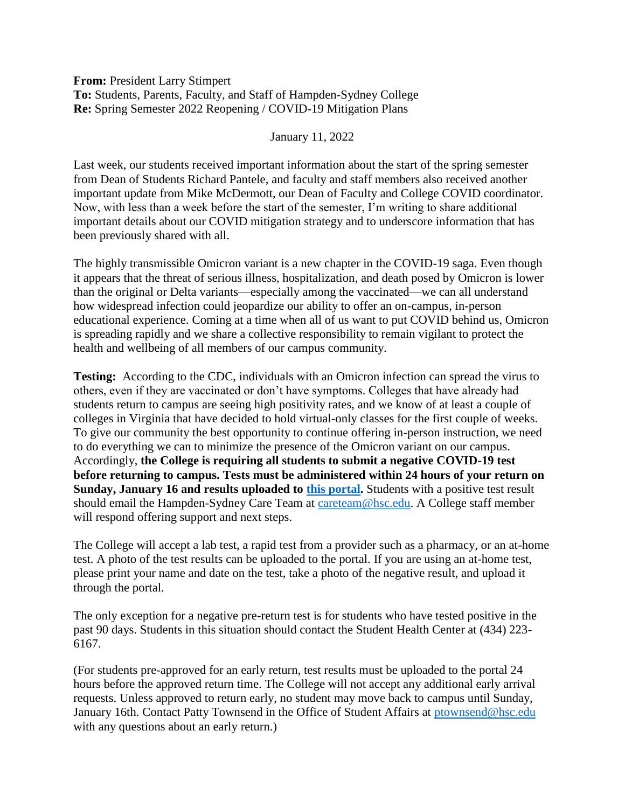**From:** President Larry Stimpert **To:** Students, Parents, Faculty, and Staff of Hampden-Sydney College **Re:** Spring Semester 2022 Reopening / COVID-19 Mitigation Plans

January 11, 2022

Last week, our students received important information about the start of the spring semester from Dean of Students Richard Pantele, and faculty and staff members also received another important update from Mike McDermott, our Dean of Faculty and College COVID coordinator. Now, with less than a week before the start of the semester, I'm writing to share additional important details about our COVID mitigation strategy and to underscore information that has been previously shared with all.

The highly transmissible Omicron variant is a new chapter in the COVID-19 saga. Even though it appears that the threat of serious illness, hospitalization, and death posed by Omicron is lower than the original or Delta variants—especially among the vaccinated—we can all understand how widespread infection could jeopardize our ability to offer an on-campus, in-person educational experience. Coming at a time when all of us want to put COVID behind us, Omicron is spreading rapidly and we share a collective responsibility to remain vigilant to protect the health and wellbeing of all members of our campus community.

**Testing:** According to the CDC, individuals with an Omicron infection can spread the virus to others, even if they are vaccinated or don't have symptoms. Colleges that have already had students return to campus are seeing high positivity rates, and we know of at least a couple of colleges in Virginia that have decided to hold virtual-only classes for the first couple of weeks. To give our community the best opportunity to continue offering in-person instruction, we need to do everything we can to minimize the presence of the Omicron variant on our campus. Accordingly, **the College is requiring all students to submit a negative COVID-19 test before returning to campus. Tests must be administered within 24 hours of your return on Sunday, January 16 and results uploaded to [this portal.](https://secure4.hsc.edu/forms/view.php?id=203744)** Students with a positive test result should email the Hampden-Sydney Care Team at [careteam@hsc.edu.](mailto:careteam@hsc.edu) A College staff member will respond offering support and next steps.

The College will accept a lab test, a rapid test from a provider such as a pharmacy, or an at-home test. A photo of the test results can be uploaded to the portal. If you are using an at-home test, please print your name and date on the test, take a photo of the negative result, and upload it through the portal.

The only exception for a negative pre-return test is for students who have tested positive in the past 90 days. Students in this situation should contact the Student Health Center at (434) 223- 6167.

(For students pre-approved for an early return, test results must be uploaded to the portal 24 hours before the approved return time. The College will not accept any additional early arrival requests. Unless approved to return early, no student may move back to campus until Sunday, January 16th. Contact Patty Townsend in the Office of Student Affairs at [ptownsend@hsc.edu](mailto:ptownsend@hsc.edu) with any questions about an early return.)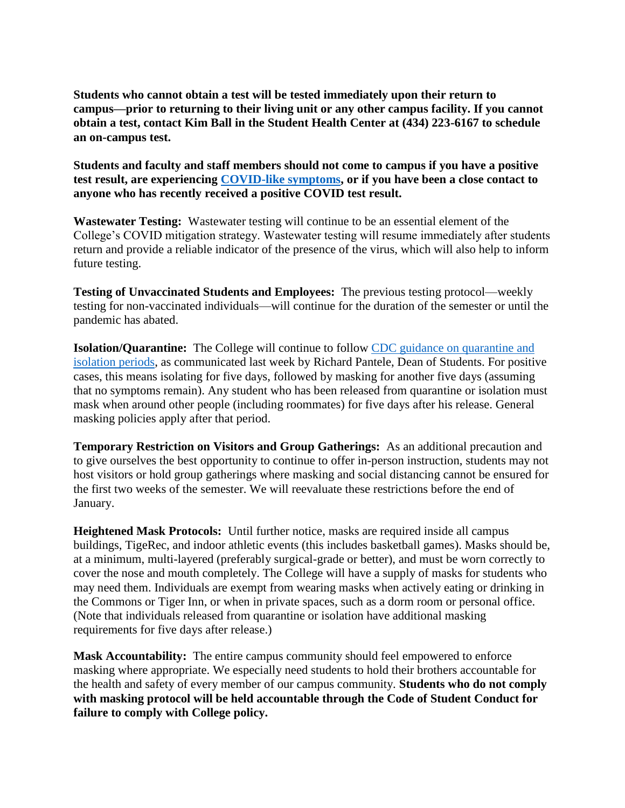**Students who cannot obtain a test will be tested immediately upon their return to campus—prior to returning to their living unit or any other campus facility. If you cannot obtain a test, contact Kim Ball in the Student Health Center at (434) 223-6167 to schedule an on-campus test.**

**Students and faculty and staff members should not come to campus if you have a positive test result, are experiencing [COVID-like symptoms,](https://www.cdc.gov/coronavirus/2019-ncov/symptoms-testing/symptoms.html) or if you have been a close contact to anyone who has recently received a positive COVID test result.**

**Wastewater Testing:** Wastewater testing will continue to be an essential element of the College's COVID mitigation strategy. Wastewater testing will resume immediately after students return and provide a reliable indicator of the presence of the virus, which will also help to inform future testing.

**Testing of Unvaccinated Students and Employees:** The previous testing protocol—weekly testing for non-vaccinated individuals—will continue for the duration of the semester or until the pandemic has abated.

**Isolation/Quarantine:** The College will continue to follow [CDC guidance on quarantine and](https://www.cdc.gov/coronavirus/2019-ncov/your-health/quarantine-isolation.html)  [isolation periods,](https://www.cdc.gov/coronavirus/2019-ncov/your-health/quarantine-isolation.html) as communicated last week by Richard Pantele, Dean of Students. For positive cases, this means isolating for five days, followed by masking for another five days (assuming that no symptoms remain). Any student who has been released from quarantine or isolation must mask when around other people (including roommates) for five days after his release. General masking policies apply after that period.

**Temporary Restriction on Visitors and Group Gatherings:** As an additional precaution and to give ourselves the best opportunity to continue to offer in-person instruction, students may not host visitors or hold group gatherings where masking and social distancing cannot be ensured for the first two weeks of the semester. We will reevaluate these restrictions before the end of January.

**Heightened Mask Protocols:** Until further notice, masks are required inside all campus buildings, TigeRec, and indoor athletic events (this includes basketball games). Masks should be, at a minimum, multi-layered (preferably surgical-grade or better), and must be worn correctly to cover the nose and mouth completely. The College will have a supply of masks for students who may need them. Individuals are exempt from wearing masks when actively eating or drinking in the Commons or Tiger Inn, or when in private spaces, such as a dorm room or personal office. (Note that individuals released from quarantine or isolation have additional masking requirements for five days after release.)

**Mask Accountability:** The entire campus community should feel empowered to enforce masking where appropriate. We especially need students to hold their brothers accountable for the health and safety of every member of our campus community. **Students who do not comply with masking protocol will be held accountable through the Code of Student Conduct for failure to comply with College policy.**